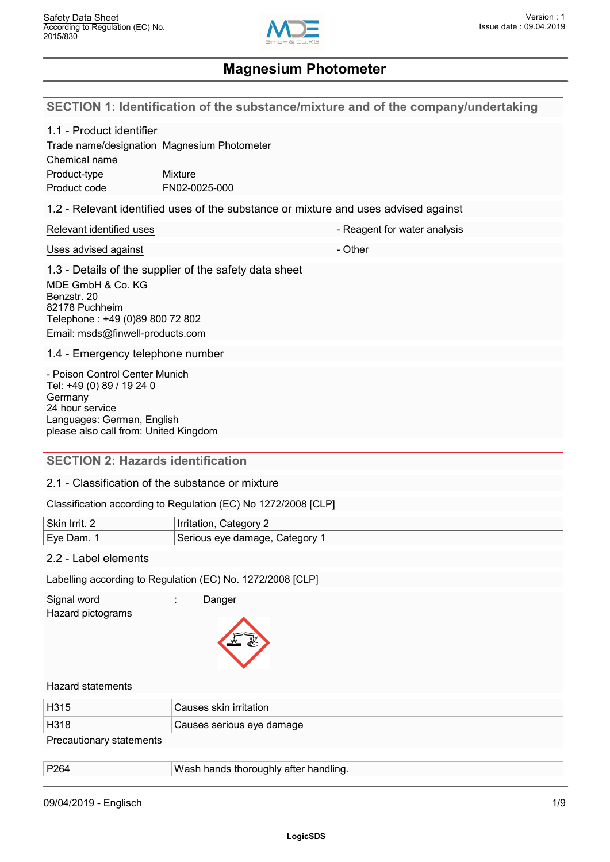

#### **SECTION 1: Identification of the substance/mixture and of the company/undertaking**

| .<br>$\sim$ $\sim$                                                                                                                                               |                                                                                     |                              |
|------------------------------------------------------------------------------------------------------------------------------------------------------------------|-------------------------------------------------------------------------------------|------------------------------|
| <b>SECTION 2: Hazards identification</b>                                                                                                                         |                                                                                     |                              |
| - Poison Control Center Munich<br>Tel: +49 (0) 89 / 19 24 0<br>Germany<br>24 hour service<br>Languages: German, English<br>please also call from: United Kingdom |                                                                                     |                              |
| 1.4 - Emergency telephone number                                                                                                                                 |                                                                                     |                              |
| MDE GmbH & Co. KG<br>Benzstr. 20<br>82178 Puchheim<br>Telephone: +49 (0)89 800 72 802<br>Email: msds@finwell-products.com                                        | 1.3 - Details of the supplier of the safety data sheet                              |                              |
| Uses advised against                                                                                                                                             |                                                                                     | - Other                      |
| Relevant identified uses                                                                                                                                         |                                                                                     | - Reagent for water analysis |
|                                                                                                                                                                  | 1.2 - Relevant identified uses of the substance or mixture and uses advised against |                              |
| 1.1 - Product identifier<br>Chemical name<br>Product-type<br>Product code                                                                                        | Trade name/designation Magnesium Photometer<br><b>Mixture</b><br>FN02-0025-000      |                              |
|                                                                                                                                                                  |                                                                                     |                              |

## 2.1 - Classification of the substance or mixture

#### Classification according to Regulation (EC) No 1272/2008 [CLP]

| Skin Irrit. 2 | Category:<br>Irritation,     |
|---------------|------------------------------|
| 'Eve Dam.     | Serious eye damage, Category |

#### 2.2 - Label elements

Labelling according to Regulation (EC) No. 1272/2008 [CLP]

Signal word : Danger

Hazard pictograms



#### Hazard statements

| H315                     | Causes skin irritation    |
|--------------------------|---------------------------|
| H318                     | Causes serious eye damage |
| Precautionary statements |                           |

| P264 | Wash hands thoroughly after handling. |
|------|---------------------------------------|
|      |                                       |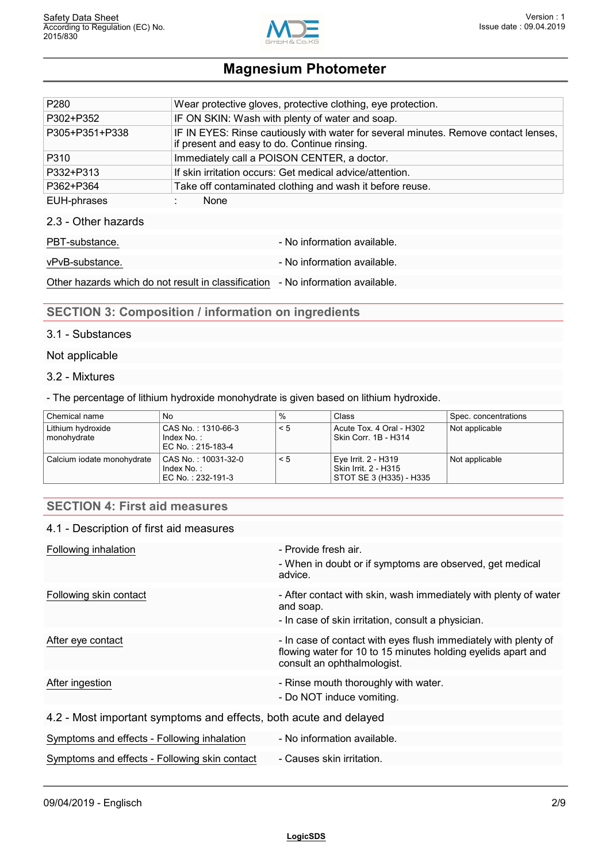

| P <sub>280</sub>    | Wear protective gloves, protective clothing, eye protection.                                                                        |
|---------------------|-------------------------------------------------------------------------------------------------------------------------------------|
| P302+P352           | IF ON SKIN: Wash with plenty of water and soap.                                                                                     |
| P305+P351+P338      | IF IN EYES: Rinse cautiously with water for several minutes. Remove contact lenses,<br>if present and easy to do. Continue rinsing. |
| P310                | Immediately call a POISON CENTER, a doctor.                                                                                         |
| P332+P313           | If skin irritation occurs: Get medical advice/attention.                                                                            |
| P362+P364           | Take off contaminated clothing and wash it before reuse.                                                                            |
| EUH-phrases         | None                                                                                                                                |
| 2.3 - Other hazards |                                                                                                                                     |
| PBT-substance.      | - No information available.                                                                                                         |

vPvB-substance.  $\blacksquare$ 

Other hazards which do not result in classification - No information available.

# **SECTION 3: Composition / information on ingredients**

#### 3.1 - Substances

#### Not applicable

#### 3.2 - Mixtures

- The percentage of lithium hydroxide monohydrate is given based on lithium hydroxide.

| Chemical name                    | No                                                    | ℅        | Class                                                                  | Spec. concentrations |
|----------------------------------|-------------------------------------------------------|----------|------------------------------------------------------------------------|----------------------|
| Lithium hydroxide<br>monohydrate | CAS No.:1310-66-3<br>Index No.:<br>l EC No.:215-183-4 | $\leq 5$ | Acute Tox, 4 Oral - H302<br>Skin Corr. 1B - H314                       | Not applicable       |
| Calcium iodate monohydrate       | CAS No.:10031-32-0<br>Index No.:<br>EC No.:232-191-3  | $\leq 5$ | Eye Irrit. 2 - H319<br>Skin Irrit. 2 - H315<br>STOT SE 3 (H335) - H335 | Not applicable       |

## **SECTION 4: First aid measures**

#### 4.1 - Description of first aid measures

| Following inhalation                                              | - Provide fresh air.                                                                                                                                           |
|-------------------------------------------------------------------|----------------------------------------------------------------------------------------------------------------------------------------------------------------|
|                                                                   | - When in doubt or if symptoms are observed, get medical<br>advice.                                                                                            |
| Following skin contact                                            | - After contact with skin, wash immediately with plenty of water<br>and soap.<br>- In case of skin irritation, consult a physician.                            |
| After eye contact                                                 | - In case of contact with eyes flush immediately with plenty of<br>flowing water for 10 to 15 minutes holding eyelids apart and<br>consult an ophthalmologist. |
| After ingestion                                                   | - Rinse mouth thoroughly with water.<br>- Do NOT induce vomiting.                                                                                              |
| 4.2 - Most important symptoms and effects, both acute and delayed |                                                                                                                                                                |
| Symptoms and effects - Following inhalation                       | - No information available.                                                                                                                                    |
| Symptoms and effects - Following skin contact                     | - Causes skin irritation.                                                                                                                                      |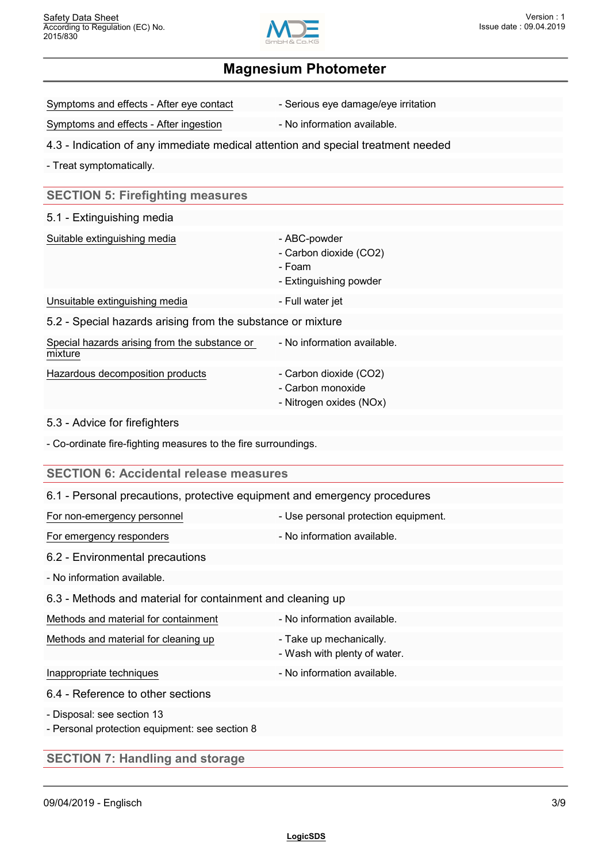

Symptoms and effects - After eye contact - Serious eye damage/eye irritation

Symptoms and effects - After ingestion - No information available.

### 4.3 - Indication of any immediate medical attention and special treatment needed

- Treat symptomatically.

## **SECTION 5: Firefighting measures**

#### 5.1 - Extinguishing media

| Suitable extinguishing media                                | - ABC-powder<br>- Carbon dioxide (CO2)<br>- Foam<br>- Extinguishing powder |
|-------------------------------------------------------------|----------------------------------------------------------------------------|
| Unsuitable extinguishing media                              | - Full water jet                                                           |
| 5.2 - Special hazards arising from the substance or mixture |                                                                            |
| Special hazards arising from the substance or<br>mixture    | - No information available.                                                |
| Hazardous decomposition products                            | - Carbon dioxide (CO2)<br>- Carbon monoxide                                |

- Nitrogen oxides (NOx)

#### 5.3 - Advice for firefighters

- Co-ordinate fire-fighting measures to the fire surroundings.

## **SECTION 6: Accidental release measures**

| - Use personal protection equipment.<br>For non-emergency personnel<br>- No information available.<br>For emergency responders<br>6.2 - Environmental precautions<br>- No information available.<br>6.3 - Methods and material for containment and cleaning up<br>- No information available.<br>Methods and material for containment<br>Methods and material for cleaning up<br>- Take up mechanically.<br>- Wash with plenty of water.<br>- No information available.<br>Inappropriate techniques<br>6.4 - Reference to other sections<br>- Disposal: see section 13<br>- Personal protection equipment: see section 8 | 6.1 - Personal precautions, protective equipment and emergency procedures |  |
|--------------------------------------------------------------------------------------------------------------------------------------------------------------------------------------------------------------------------------------------------------------------------------------------------------------------------------------------------------------------------------------------------------------------------------------------------------------------------------------------------------------------------------------------------------------------------------------------------------------------------|---------------------------------------------------------------------------|--|
|                                                                                                                                                                                                                                                                                                                                                                                                                                                                                                                                                                                                                          |                                                                           |  |
|                                                                                                                                                                                                                                                                                                                                                                                                                                                                                                                                                                                                                          |                                                                           |  |
|                                                                                                                                                                                                                                                                                                                                                                                                                                                                                                                                                                                                                          |                                                                           |  |
|                                                                                                                                                                                                                                                                                                                                                                                                                                                                                                                                                                                                                          |                                                                           |  |
|                                                                                                                                                                                                                                                                                                                                                                                                                                                                                                                                                                                                                          |                                                                           |  |
|                                                                                                                                                                                                                                                                                                                                                                                                                                                                                                                                                                                                                          |                                                                           |  |
|                                                                                                                                                                                                                                                                                                                                                                                                                                                                                                                                                                                                                          |                                                                           |  |
|                                                                                                                                                                                                                                                                                                                                                                                                                                                                                                                                                                                                                          |                                                                           |  |
|                                                                                                                                                                                                                                                                                                                                                                                                                                                                                                                                                                                                                          |                                                                           |  |
|                                                                                                                                                                                                                                                                                                                                                                                                                                                                                                                                                                                                                          |                                                                           |  |
|                                                                                                                                                                                                                                                                                                                                                                                                                                                                                                                                                                                                                          | <b>SECTION 7: Handling and storage</b>                                    |  |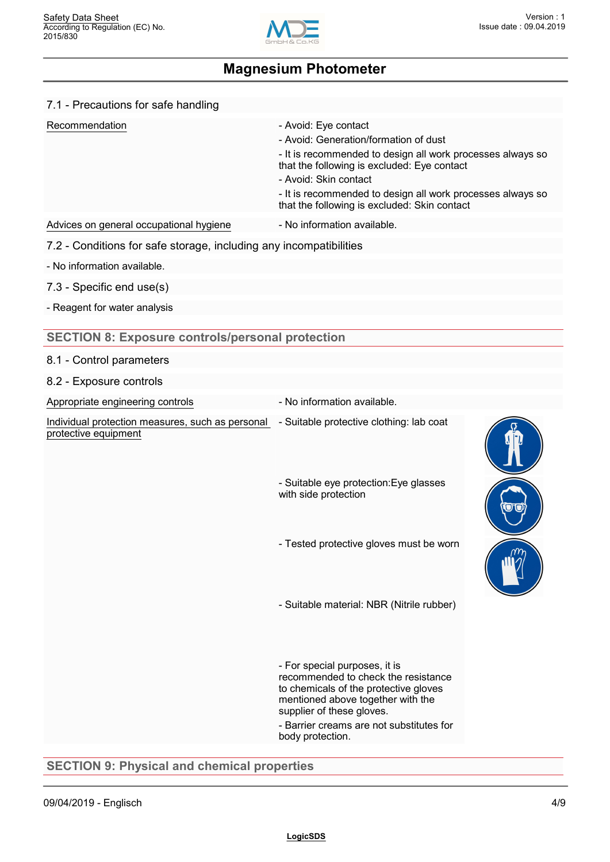

| 7.1 - Precautions for safe handling                                      |                                                                                                                                                                                                                                                                                                                   |  |
|--------------------------------------------------------------------------|-------------------------------------------------------------------------------------------------------------------------------------------------------------------------------------------------------------------------------------------------------------------------------------------------------------------|--|
| Recommendation                                                           | - Avoid: Eye contact<br>- Avoid: Generation/formation of dust<br>- It is recommended to design all work processes always so<br>that the following is excluded: Eye contact<br>- Avoid: Skin contact<br>- It is recommended to design all work processes always so<br>that the following is excluded: Skin contact |  |
| Advices on general occupational hygiene                                  | - No information available.                                                                                                                                                                                                                                                                                       |  |
| 7.2 - Conditions for safe storage, including any incompatibilities       |                                                                                                                                                                                                                                                                                                                   |  |
| - No information available.                                              |                                                                                                                                                                                                                                                                                                                   |  |
| 7.3 - Specific end use(s)                                                |                                                                                                                                                                                                                                                                                                                   |  |
| - Reagent for water analysis                                             |                                                                                                                                                                                                                                                                                                                   |  |
| <b>SECTION 8: Exposure controls/personal protection</b>                  |                                                                                                                                                                                                                                                                                                                   |  |
| 8.1 - Control parameters                                                 |                                                                                                                                                                                                                                                                                                                   |  |
| 8.2 - Exposure controls                                                  |                                                                                                                                                                                                                                                                                                                   |  |
| Appropriate engineering controls                                         | - No information available.                                                                                                                                                                                                                                                                                       |  |
| Individual protection measures, such as personal<br>protective equipment | - Suitable protective clothing: lab coat                                                                                                                                                                                                                                                                          |  |
|                                                                          | - Suitable eye protection: Eye glasses<br>with side protection                                                                                                                                                                                                                                                    |  |
|                                                                          | - Tested protective gloves must be worn                                                                                                                                                                                                                                                                           |  |
|                                                                          | - Suitable material: NBR (Nitrile rubber)                                                                                                                                                                                                                                                                         |  |
|                                                                          | - For special purposes, it is<br>recommended to check the resistance<br>to chemicals of the protective gloves<br>mentioned above together with the<br>supplier of these gloves.<br>- Barrier creams are not substitutes for<br>body protection.                                                                   |  |

**SECTION 9: Physical and chemical properties**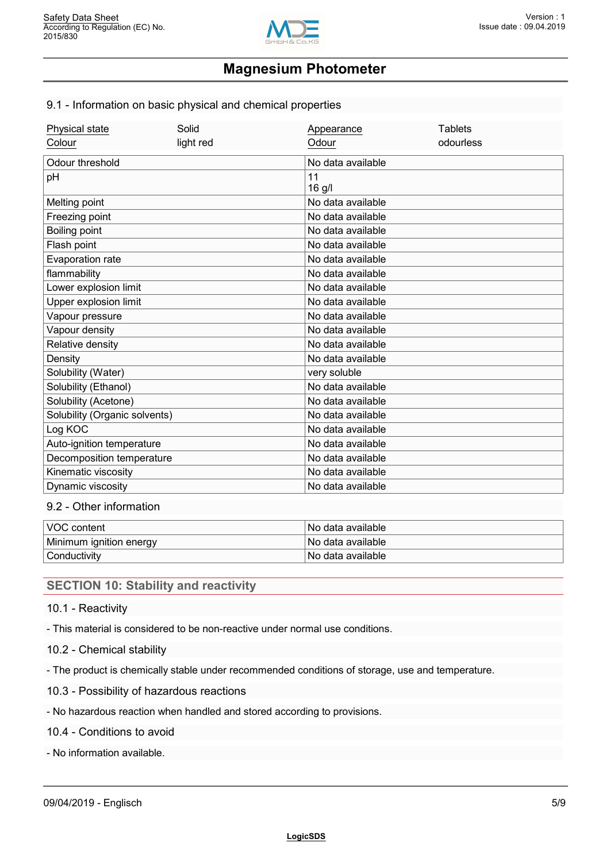

#### 9.1 - Information on basic physical and chemical properties

| Physical state                | Solid     | Appearance        | <b>Tablets</b> |
|-------------------------------|-----------|-------------------|----------------|
| Colour                        | light red | Odour             | odourless      |
| Odour threshold               |           | No data available |                |
| pH                            |           | 11                |                |
|                               |           | 16 g/l            |                |
| Melting point                 |           | No data available |                |
| Freezing point                |           | No data available |                |
| Boiling point                 |           | No data available |                |
| Flash point                   |           | No data available |                |
| Evaporation rate              |           | No data available |                |
| flammability                  |           | No data available |                |
| Lower explosion limit         |           | No data available |                |
| Upper explosion limit         |           | No data available |                |
| Vapour pressure               |           | No data available |                |
| Vapour density                |           | No data available |                |
| Relative density              |           | No data available |                |
| Density                       |           | No data available |                |
| Solubility (Water)            |           | very soluble      |                |
| Solubility (Ethanol)          |           | No data available |                |
| Solubility (Acetone)          |           | No data available |                |
| Solubility (Organic solvents) |           | No data available |                |
| Log KOC                       |           | No data available |                |
| Auto-ignition temperature     |           | No data available |                |
| Decomposition temperature     |           | No data available |                |
| Kinematic viscosity           |           | No data available |                |
| Dynamic viscosity             |           | No data available |                |

#### 9.2 - Other information

| VOC content             | l No data available l |
|-------------------------|-----------------------|
| Minimum ignition energy | l No data available   |
| Conductivity            | l No data available l |

## **SECTION 10: Stability and reactivity**

10.1 - Reactivity

- This material is considered to be non-reactive under normal use conditions.

#### 10.2 - Chemical stability

- The product is chemically stable under recommended conditions of storage, use and temperature.

- 10.3 Possibility of hazardous reactions
- No hazardous reaction when handled and stored according to provisions.

10.4 - Conditions to avoid

- No information available.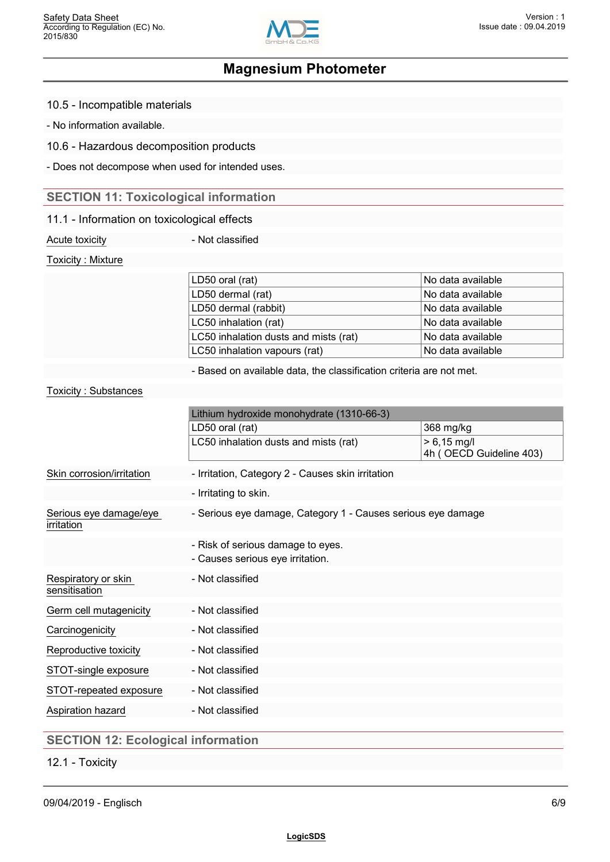

10.5 - Incompatible materials

- No information available.

10.6 - Hazardous decomposition products

- Does not decompose when used for intended uses.

## **SECTION 11: Toxicological information**

#### 11.1 - Information on toxicological effects

Acute toxicity **Acute toxicity 1988** 

Toxicity : Mixture

| LD50 oral (rat)                       | No data available    |
|---------------------------------------|----------------------|
| LD50 dermal (rat)                     | No data available    |
| LD50 dermal (rabbit)                  | 'No data available l |
| LC50 inhalation (rat)                 | No data available    |
| LC50 inhalation dusts and mists (rat) | No data available    |
| LC50 inhalation vapours (rat)         | No data available    |
|                                       |                      |

- Based on available data, the classification criteria are not met.

#### Toxicity : Substances

|                                           | Lithium hydroxide monohydrate (1310-66-3)                             |                                          |
|-------------------------------------------|-----------------------------------------------------------------------|------------------------------------------|
|                                           | LD50 oral (rat)                                                       | 368 mg/kg                                |
|                                           | LC50 inhalation dusts and mists (rat)                                 | $> 6,15$ mg/l<br>4h (OECD Guideline 403) |
| Skin corrosion/irritation                 | - Irritation, Category 2 - Causes skin irritation                     |                                          |
|                                           | - Irritating to skin.                                                 |                                          |
| Serious eye damage/eye<br>irritation      | - Serious eye damage, Category 1 - Causes serious eye damage          |                                          |
|                                           | - Risk of serious damage to eyes.<br>- Causes serious eye irritation. |                                          |
| Respiratory or skin<br>sensitisation      | - Not classified                                                      |                                          |
| Germ cell mutagenicity                    | - Not classified                                                      |                                          |
| Carcinogenicity                           | - Not classified                                                      |                                          |
| Reproductive toxicity                     | - Not classified                                                      |                                          |
| STOT-single exposure                      | - Not classified                                                      |                                          |
| STOT-repeated exposure                    | - Not classified                                                      |                                          |
| Aspiration hazard                         | - Not classified                                                      |                                          |
| <b>SECTION 12: Ecological information</b> |                                                                       |                                          |

12.1 - Toxicity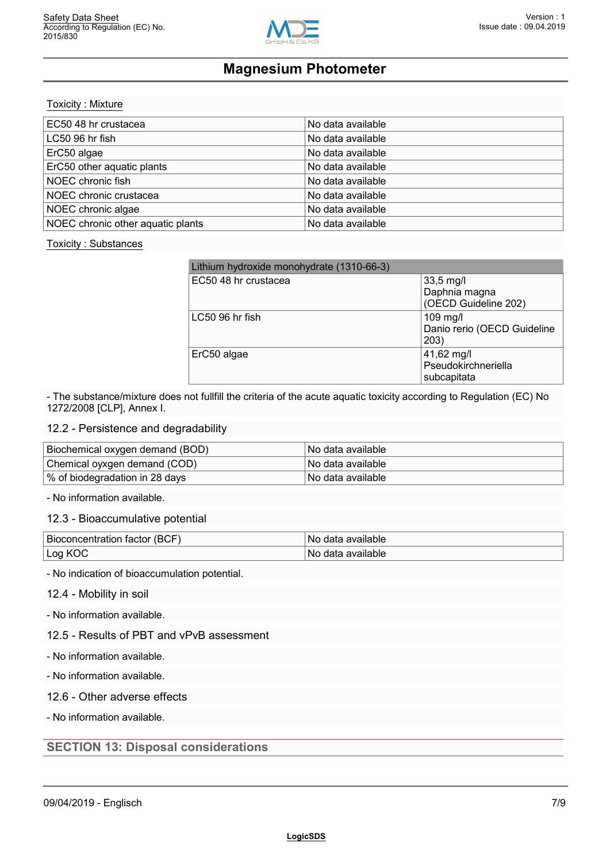

Toxicity : Mixture

| EC50 48 hr crustacea              | No data available |  |
|-----------------------------------|-------------------|--|
| LC50 96 hr fish                   | No data available |  |
| ErC50 algae                       | No data available |  |
| ErC50 other aquatic plants        | No data available |  |
| NOEC chronic fish                 | No data available |  |
| NOEC chronic crustacea            | No data available |  |
| NOEC chronic algae                | No data available |  |
| NOEC chronic other aquatic plants | No data available |  |

#### Toxicity : Substances

| Lithium hydroxide monohydrate (1310-66-3) |                                                      |
|-------------------------------------------|------------------------------------------------------|
| EC50 48 hr crustacea                      | $33,5$ mg/l<br>Daphnia magna<br>(OECD Guideline 202) |
| LC50 96 hr fish                           | 109 mg/l<br>Danio rerio (OECD Guideline<br>203)      |
| ErC50 algae                               | 41,62 mg/l<br>Pseudokirchneriella<br>subcapitata     |

- The substance/mixture does not fullfill the criteria of the acute aquatic toxicity according to Regulation (EC) No 1272/2008 [CLP], Annex I.

#### 12.2 - Persistence and degradability

| Biochemical oxygen demand (BOD) | ⊟No data available l  |
|---------------------------------|-----------------------|
| Chemical oyxgen demand (COD)    | l No data available l |
| % of biodegradation in 28 days  | l No data available l |

- No information available.

#### 12.3 - Bioaccumulative potential

| <b>Bioco</b><br>$\sim$<br>⊣ (BC)<br>oncentration<br>tactor | available<br>Νć |
|------------------------------------------------------------|-----------------|
| . na                                                       | available       |
| ĸ                                                          | Νú              |
| --                                                         |                 |

- No indication of bioaccumulation potential.

#### 12.4 - Mobility in soil

- No information available.

## 12.5 - Results of PBT and vPvB assessment

- No information available.

- No information available.

#### 12.6 - Other adverse effects

- No information available.

#### **SECTION 13: Disposal considerations**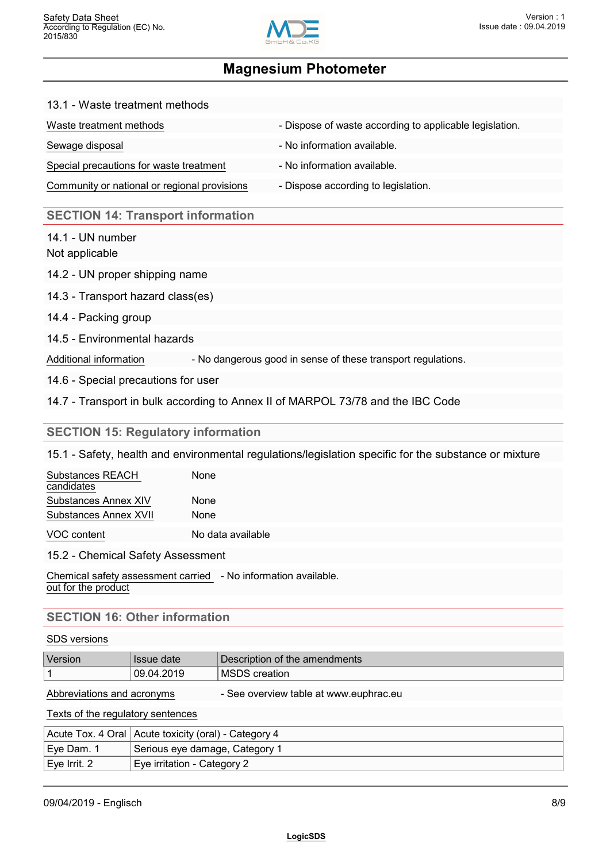

#### 13.1 - Waste treatment methods

| Waste treatment methods                      | - Dispose of waste according to applicable legislation. |
|----------------------------------------------|---------------------------------------------------------|
| Sewage disposal                              | - No information available.                             |
| Special precautions for waste treatment      | - No information available.                             |
| Community or national or regional provisions | - Dispose according to legislation.                     |

#### **SECTION 14: Transport information**

14.1 - UN number

Not applicable

- 14.2 UN proper shipping name
- 14.3 Transport hazard class(es)
- 14.4 Packing group
- 14.5 Environmental hazards

Additional information - No dangerous good in sense of these transport regulations.

14.6 - Special precautions for user

14.7 - Transport in bulk according to Annex II of MARPOL 73/78 and the IBC Code

#### **SECTION 15: Regulatory information**

15.1 - Safety, health and environmental regulations/legislation specific for the substance or mixture

| Substances REACH      | <b>None</b>       |  |
|-----------------------|-------------------|--|
| candidates            |                   |  |
| Substances Annex XIV  | None              |  |
| Substances Annex XVII | None              |  |
| VOC content           | No data available |  |

#### 15.2 - Chemical Safety Assessment

Chemical safety assessment carried - No information available. out for the product

## **SECTION 16: Other information**

#### SDS versions

| <b>Version</b> | <b>Issue date</b> | Description of the amendments                      |
|----------------|-------------------|----------------------------------------------------|
|                | 09.04.2019        | $\overline{\mathsf{MSD}^{\mathsf{c}}}$<br>creation |

| Abbreviations and acronyms | - See overview table at www.euphrac.eu |
|----------------------------|----------------------------------------|
|----------------------------|----------------------------------------|

Texts of the regulatory sentences

|              | Acute Tox. 4 Oral   Acute toxicity (oral) - Category 4 |
|--------------|--------------------------------------------------------|
| ∣Eye Dam. 1  | Serious eye damage, Category 1                         |
| Eye Irrit. 2 | Eye irritation - Category 2                            |